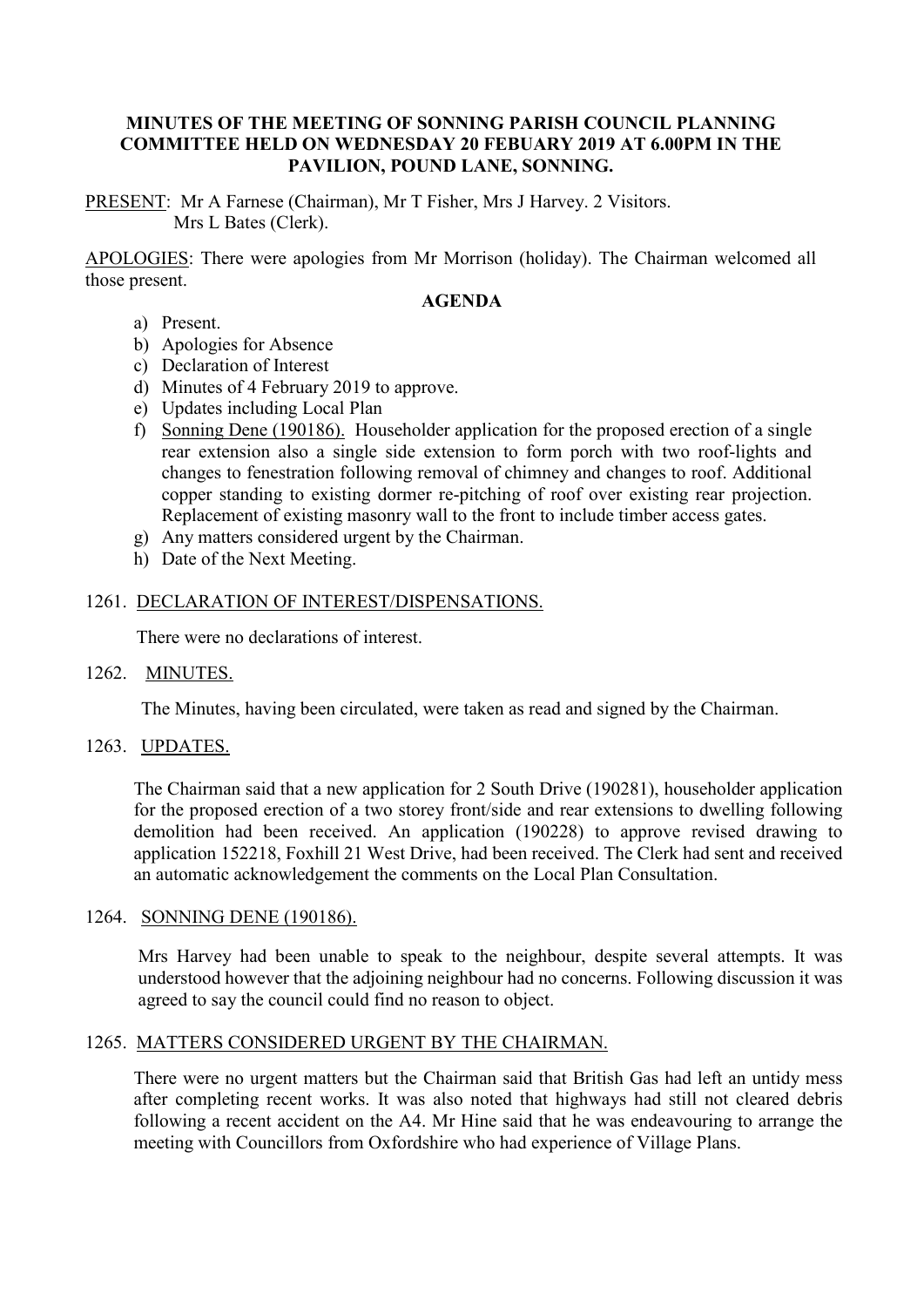# **MINUTES OF THE MEETING OF SONNING PARISH COUNCIL PLANNING COMMITTEE HELD ON WEDNESDAY 20 FEBUARY 2019 AT 6.00PM IN THE PAVILION, POUND LANE, SONNING.**

PRESENT: Mr A Farnese (Chairman), Mr T Fisher, Mrs J Harvey. 2 Visitors. Mrs L Bates (Clerk).

APOLOGIES: There were apologies from Mr Morrison (holiday). The Chairman welcomed all those present.

#### **AGENDA**

- a) Present.
- b) Apologies for Absence
- c) Declaration of Interest
- d) Minutes of 4 February 2019 to approve.
- e) Updates including Local Plan
- f) Sonning Dene (190186). Householder application for the proposed erection of a single rear extension also a single side extension to form porch with two roof-lights and changes to fenestration following removal of chimney and changes to roof. Additional copper standing to existing dormer re-pitching of roof over existing rear projection. Replacement of existing masonry wall to the front to include timber access gates.
- g) Any matters considered urgent by the Chairman.
- h) Date of the Next Meeting.

## 1261. DECLARATION OF INTEREST/DISPENSATIONS.

There were no declarations of interest.

## 1262. MINUTES.

The Minutes, having been circulated, were taken as read and signed by the Chairman.

## 1263. UPDATES.

The Chairman said that a new application for 2 South Drive (190281), householder application for the proposed erection of a two storey front/side and rear extensions to dwelling following demolition had been received. An application (190228) to approve revised drawing to application 152218, Foxhill 21 West Drive, had been received. The Clerk had sent and received an automatic acknowledgement the comments on the Local Plan Consultation.

#### 1264. SONNING DENE (190186).

Mrs Harvey had been unable to speak to the neighbour, despite several attempts. It was understood however that the adjoining neighbour had no concerns. Following discussion it was agreed to say the council could find no reason to object.

## 1265. MATTERS CONSIDERED URGENT BY THE CHAIRMAN.

There were no urgent matters but the Chairman said that British Gas had left an untidy mess after completing recent works. It was also noted that highways had still not cleared debris following a recent accident on the A4. Mr Hine said that he was endeavouring to arrange the meeting with Councillors from Oxfordshire who had experience of Village Plans.